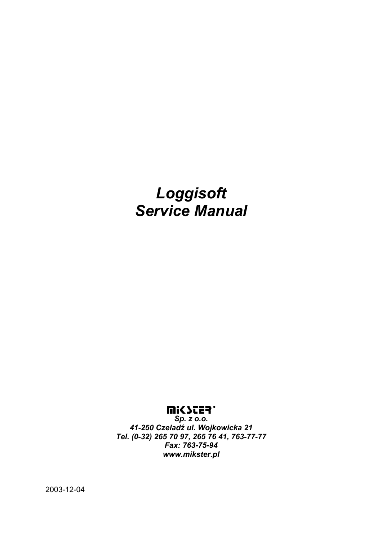# *Loggisoft Service Manual*

## **WICZES.**

*Sp. z o.o. 41-250 Czeladź ul. Wojkowicka 21 Tel. (0-32) 265 70 97, 265 76 41, 763-77-77 Fax: 763-75-94 www.mikster.pl* 

2003-12-04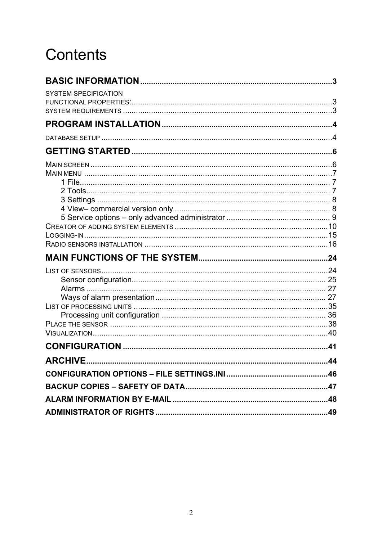# Contents

| <b>SYSTEM SPECIFICATION</b>                                  |    |
|--------------------------------------------------------------|----|
|                                                              |    |
|                                                              |    |
|                                                              |    |
|                                                              |    |
|                                                              |    |
|                                                              |    |
|                                                              |    |
|                                                              |    |
|                                                              |    |
|                                                              |    |
|                                                              |    |
|                                                              |    |
|                                                              |    |
|                                                              |    |
|                                                              |    |
|                                                              |    |
|                                                              |    |
|                                                              |    |
|                                                              |    |
|                                                              |    |
| LIST OF PROCESSING UNITS ………………………………………………………………………………………35 |    |
|                                                              |    |
|                                                              |    |
|                                                              |    |
| <b>ARCHIVE</b>                                               | 44 |
|                                                              |    |
|                                                              |    |
|                                                              |    |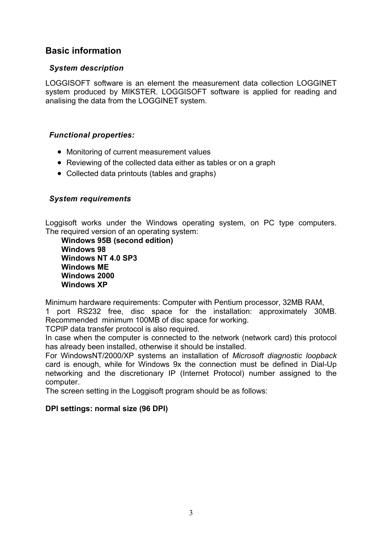## **Basic information**

## *System description*

LOGGISOFT software is an element the measurement data collection LOGGINET system produced by MIKSTER. LOGGISOFT software is applied for reading and analising the data from the LOGGINET system.

## *Functional properties:*

- Monitoring of current measurement values
- Reviewing of the collected data either as tables or on a graph
- Collected data printouts (tables and graphs)

## *System requirements*

Loggisoft works under the Windows operating system, on PC type computers. The required version of an operating system:

**Windows 95B (second edition) Windows 98 Windows NT 4.0 SP3 Windows ME Windows 2000 Windows XP** 

Minimum hardware requirements: Computer with Pentium processor, 32MB RAM,

1 port RS232 free, disc space for the installation: approximately 30MB. Recommended minimum 100MB of disc space for working.

TCPIP data transfer protocol is also required.

In case when the computer is connected to the network (network card) this protocol has already been installed, otherwise it should be installed.

For WindowsNT/2000/XP systems an installation of *Microsoft diagnostic loopback*  card is enough, while for Windows 9x the connection must be defined in Dial-Up networking and the discretionary IP (Internet Protocol) number assigned to the computer.

The screen setting in the Loggisoft program should be as follows:

## **DPI settings: normal size (96 DPI)**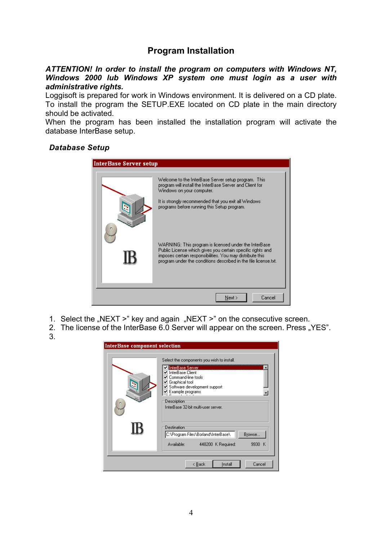## **Program Installation**

*ATTENTION! In order to install the program on computers with Windows NT, Windows 2000 lub Windows XP system one must login as a user with administrative rights.* 

Loggisoft is prepared for work in Windows environment. It is delivered on a CD plate. To install the program the SETUP.EXE located on CD plate in the main directory should be activated.

When the program has been installed the installation program will activate the database InterBase setup.

#### *Database Setup*

| <b>InterBase Server setup</b> |                                                                                                                                                                                                                                                      |
|-------------------------------|------------------------------------------------------------------------------------------------------------------------------------------------------------------------------------------------------------------------------------------------------|
|                               | Welcome to the InterBase Server setup program. This<br>program will install the InterBase Server and Client for<br>Windows on your computer.<br>It is strongly recommended that you exit all Windows.<br>programs before running this Setup program. |
|                               | WARNING: This program is licensed under the InterBase.<br>Public License which gives you certain specific rights and<br>imposes certain responsibilities. You may distribute this<br>program under the conditions described in the file license.txt. |
|                               | Next<br>Cancel                                                                                                                                                                                                                                       |

- 1. Select the "NEXT  $>$ " key and again "NEXT  $>$ " on the consecutive screen.
- 2. The license of the InterBase 6.0 Server will appear on the screen. Press "YES".
- 3.

| <b>InterBase component selection</b> |                                                                                                                      |
|--------------------------------------|----------------------------------------------------------------------------------------------------------------------|
|                                      | Select the components you wish to install.<br><b>Zi</b> InterBase Server<br>☑ InterBase Client<br>Command-line tools |
|                                      | ☑ Graphical tool<br>■ Software development support<br>$\mathbf{Z}$ Example programs                                  |
|                                      | Description<br>InterBase 32-bit multi-user server.                                                                   |
|                                      | <b>Destination</b><br>C:\Program Files\Borland\InterBase\<br>Browse                                                  |
|                                      | Available:<br>448200 K Required:<br>9930 K                                                                           |
|                                      | Install<br>Cancel<br>< <u>B</u> ack                                                                                  |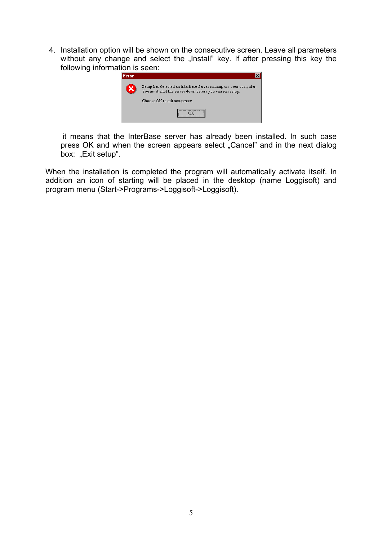4. Installation option will be shown on the consecutive screen. Leave all parameters without any change and select the "Install" key. If after pressing this key the following information is seen:



it means that the InterBase server has already been installed. In such case press OK and when the screen appears select "Cancel" and in the next dialog box: "Exit setup".

When the installation is completed the program will automatically activate itself. In addition an icon of starting will be placed in the desktop (name Loggisoft) and program menu (Start->Programs->Loggisoft->Loggisoft).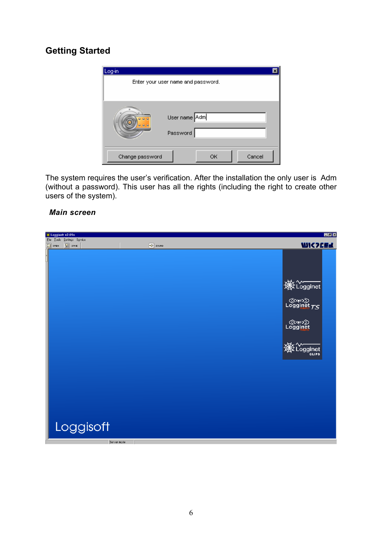# **Getting Started**



The system requires the user's verification. After the installation the only user is Adm (without a password). This user has all the rights (including the right to create other users of the system).

#### *Main screen*

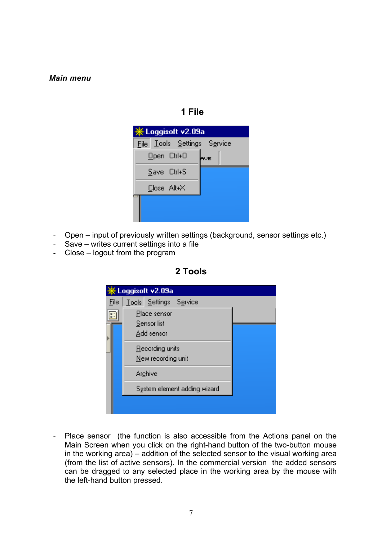#### *Main menu*

## **1 File**

| <b>※Loggisoft v2.09a</b>    |  |  |  |  |
|-----------------------------|--|--|--|--|
| File Tools Settings Service |  |  |  |  |
| Open Ctrl+0<br><b>AVE</b>   |  |  |  |  |
| Save Ctrl+S                 |  |  |  |  |
| Close Alt+X                 |  |  |  |  |
|                             |  |  |  |  |
|                             |  |  |  |  |

- Open input of previously written settings (background, sensor settings etc.)
- Save writes current settings into a file
- Close logout from the program



|      | Loggisoft v2.09a            |                              |  |
|------|-----------------------------|------------------------------|--|
| File | Tools Settings Service      |                              |  |
|      | Place sensor<br>Sensor list |                              |  |
|      | Add sensor                  |                              |  |
|      | Recording units             |                              |  |
|      | New recording unit          |                              |  |
|      | <b>Archive</b>              |                              |  |
|      |                             | System element adding wizard |  |
|      |                             |                              |  |
|      |                             |                              |  |

- Place sensor (the function is also accessible from the Actions panel on the Main Screen when you click on the right-hand button of the two-button mouse in the working area) – addition of the selected sensor to the visual working area (from the list of active sensors). In the commercial version the added sensors can be dragged to any selected place in the working area by the mouse with the left-hand button pressed.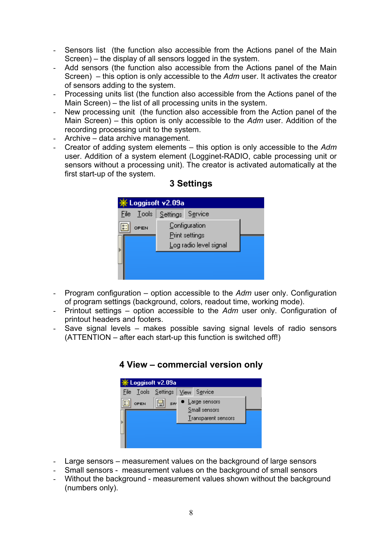- Sensors list (the function also accessible from the Actions panel of the Main Screen) – the display of all sensors logged in the system.
- Add sensors (the function also accessible from the Actions panel of the Main Screen) – this option is only accessible to the *Adm* user. It activates the creator of sensors adding to the system.
- Processing units list (the function also accessible from the Actions panel of the Main Screen) – the list of all processing units in the system.
- New processing unit (the function also accessible from the Action panel of the Main Screen) – this option is only accessible to the *Adm* user. Addition of the recording processing unit to the system.
- Archive data archive management.
- Creator of adding system elements this option is only accessible to the *Adm* user. Addition of a system element (Logginet-RADIO, cable processing unit or sensors without a processing unit). The creator is activated automatically at the first start-up of the system.

| ※ Loggisoft v2.09a |                 |                                                           |  |  |  |
|--------------------|-----------------|-----------------------------------------------------------|--|--|--|
| <b>File</b>        | - <u>T</u> ools | Settings Service                                          |  |  |  |
|                    | OPEN            | Configuration<br>Print settings<br>Log radio level signal |  |  |  |
|                    |                 |                                                           |  |  |  |

## **3 Settings**

- Program configuration option accessible to the *Adm* user only. Configuration of program settings (background, colors, readout time, working mode).
- Printout settings option accessible to the *Adm* user only. Configuration of printout headers and footers.
- Save signal levels makes possible saving signal levels of radio sensors (ATTENTION – after each start-up this function is switched off!)



## **4 View – commercial version only**

- Large sensors measurement values on the background of large sensors
- Small sensors measurement values on the background of small sensors
- Without the background measurement values shown without the background (numbers only).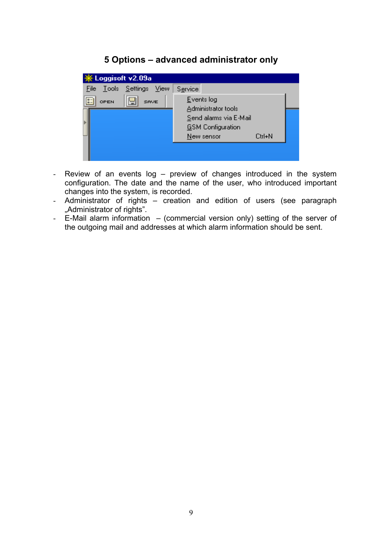## **5 Options – advanced administrator only**

| Loggisoft v2.09a            |                                                                                                                 |  |
|-----------------------------|-----------------------------------------------------------------------------------------------------------------|--|
| Tools Settings View<br>File | Service                                                                                                         |  |
| E<br>OPEN<br>SAVE           | Events log<br>Administrator tools<br>Send alarms via E-Mail<br><b>GSM</b> Configuration<br>New sensor<br>Ctrl+N |  |
|                             |                                                                                                                 |  |

- Review of an events log preview of changes introduced in the system configuration. The date and the name of the user, who introduced important changes into the system, is recorded.
- Administrator of rights creation and edition of users (see paragraph "Administrator of rights".
- E-Mail alarm information (commercial version only) setting of the server of the outgoing mail and addresses at which alarm information should be sent.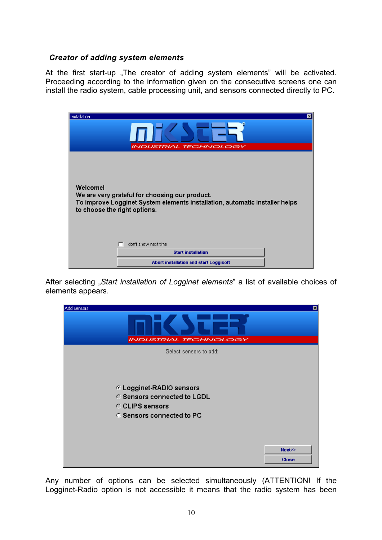#### *Creator of adding system elements*

At the first start-up "The creator of adding system elements" will be activated. Proceeding according to the information given on the consecutive screens one can install the radio system, cable processing unit, and sensors connected directly to PC.

| 回<br>Installation<br><b>INDUSTRIAL TECHNOLOGY</b>                                                                                                                         |
|---------------------------------------------------------------------------------------------------------------------------------------------------------------------------|
| Welcome!<br>We are very grateful for choosing our product.<br>To improve Logginet System elements installation, automatic installer helps<br>to choose the right options. |
| don't show next time                                                                                                                                                      |
| <b>Start installation</b>                                                                                                                                                 |
| Abort installation and start Loggisoft                                                                                                                                    |

After selecting "*Start installation of Logginet elements*" a list of available choices of elements appears.

| Add sensors                                                                                                    | 囩            |
|----------------------------------------------------------------------------------------------------------------|--------------|
| <b>INDUSTRIAL TECHNOLOGY</b>                                                                                   |              |
| Select sensors to add:                                                                                         |              |
| C Logginet-RADIO sensors<br>C Sensors connected to LGDL<br>C CLIPS sensors<br><b>C Sensors connected to PC</b> |              |
|                                                                                                                | Next>>       |
|                                                                                                                | <b>Close</b> |

Any number of options can be selected simultaneously (ATTENTION! If the Logginet-Radio option is not accessible it means that the radio system has been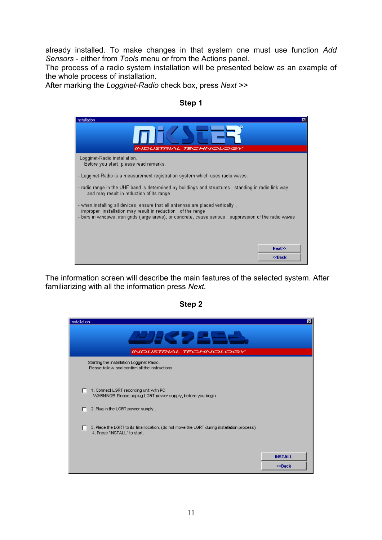already installed. To make changes in that system one must use function *Add Sensors* - either from *Tools* menu or from the Actions panel.

The process of a radio system installation will be presented below as an example of the whole process of installation.

After marking the *Logginet-Radio* check box, press *Next >>* 

| Installation<br><b>INDUSTRIAL TECHNOLOGY</b>                                                                                                                                                                                                             | ıxı |
|----------------------------------------------------------------------------------------------------------------------------------------------------------------------------------------------------------------------------------------------------------|-----|
| Logginet-Radio installation.<br>Before you start, please read remarks.                                                                                                                                                                                   |     |
| - Logginet-Radio is a measurement registration system which uses radio waves.                                                                                                                                                                            |     |
| - radio range in the UHF band is determined by buildings and structures - standing in radio link way<br>and may result in reduction of its range                                                                                                         |     |
| - when installing all devices, ensure that all antennas are placed vertically,<br>improper installation may result in reduction of the range<br>- bars in windows, iron grids (large areas), or concrete, cause serious - suppression of the radio waves |     |
|                                                                                                                                                                                                                                                          |     |
| Next>>                                                                                                                                                                                                                                                   |     |
| ≪Back                                                                                                                                                                                                                                                    |     |

The information screen will describe the main features of the selected system. After familiarizing with all the information press *Next.* 

| c<br>н |  |
|--------|--|
|--------|--|

| Installation                                                                                                                | ⊠                           |
|-----------------------------------------------------------------------------------------------------------------------------|-----------------------------|
| <u>РЛС ДЕ</u>                                                                                                               |                             |
| <b>INDUSTRIAL TECHNOLOGY</b>                                                                                                |                             |
| Starting the installation Logginet Radio.<br>Please follow and confirm all the instructions                                 |                             |
| 1. Connect LGRT recording unit with PC<br>п<br>WARNING!!! Please unplug LGRT power supply, before you begin.                |                             |
| 2. Plug in the LGRT power supply.                                                                                           |                             |
| 3. Place the LGRT to its final location. (do not move the LGRT during installation process)<br>4. Press "INSTALL" to start. |                             |
|                                                                                                                             | <b>INSTALL</b><br>$<<$ Back |

#### **Step 1**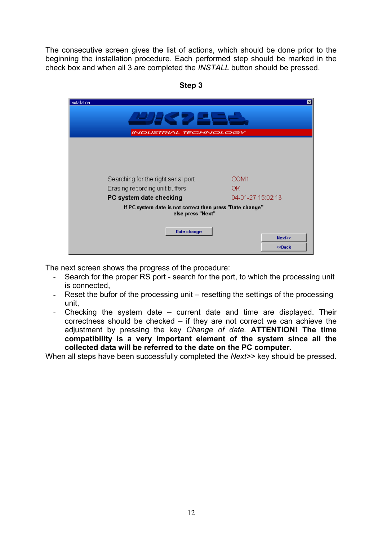The consecutive screen gives the list of actions, which should be done prior to the beginning the installation procedure. Each performed step should be marked in the check box and when all 3 are completed the *INSTALL* button should be pressed.

| Installation                                                                   | 圂                   |
|--------------------------------------------------------------------------------|---------------------|
| <b>JHK 221-3</b><br><b>INDUSTRIAL TECHNOLOGY</b>                               |                     |
|                                                                                |                     |
|                                                                                |                     |
|                                                                                |                     |
| Searching for the right serial port                                            | COM1                |
| Erasing recording unit buffers                                                 | 0K.                 |
| PC system date checking                                                        | 04-01-27 15:02:13   |
| If PC system date is not correct then press "Date change"<br>else press "Next" |                     |
| <b>Date change</b>                                                             |                     |
|                                                                                | Next>><br>$<<$ Back |
|                                                                                |                     |

**Step 3** 

The next screen shows the progress of the procedure:

- Search for the proper RS port search for the port, to which the processing unit is connected,
- Reset the bufor of the processing unit resetting the settings of the processing unit,
- Checking the system date current date and time are displayed. Their correctness should be checked – if they are not correct we can achieve the adjustment by pressing the key *Change of date.* **ATTENTION! The time compatibility is a very important element of the system since all the collected data will be referred to the date on the PC computer.**

When all steps have been successfully completed the *Next>>* key should be pressed.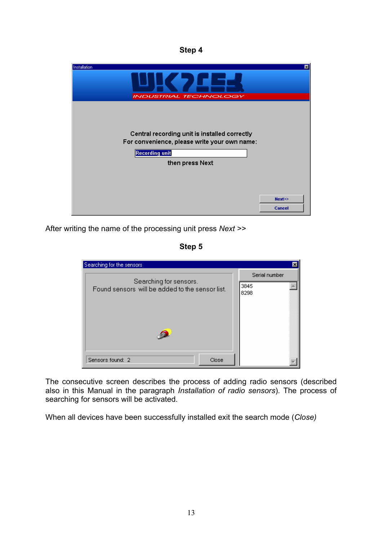**Step 4** 



After writing the name of the processing unit press *Next >>*

**Step 5** 

| Searching for the sensors                                                 |                               |
|---------------------------------------------------------------------------|-------------------------------|
| Searching for sensors.<br>Found sensors will be added to the sensor list. | Serial number<br>3845<br>8298 |
| Sensors found: 2<br>Close                                                 |                               |

The consecutive screen describes the process of adding radio sensors (described also in this Manual in the paragraph *Installation of radio sensors*). The process of searching for sensors will be activated.

When all devices have been successfully installed exit the search mode (*Close)*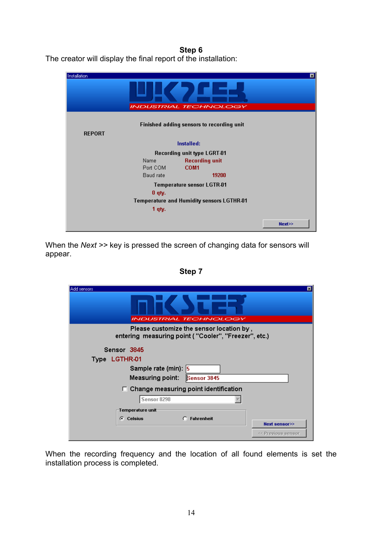## **Step 6**

The creator will display the final report of the installation:

| Installation                 |           |                                           | 囨      |  |  |  |
|------------------------------|-----------|-------------------------------------------|--------|--|--|--|
| <b>INDUSTRIAL TECHNOLOGY</b> |           |                                           |        |  |  |  |
|                              |           | Finished adding sensors to recording unit |        |  |  |  |
| <b>REPORT</b>                |           |                                           |        |  |  |  |
|                              |           | Installed:                                |        |  |  |  |
|                              |           | <b>Recording unit type LGRT-01</b>        |        |  |  |  |
|                              | Name      | <b>Recording unit</b>                     |        |  |  |  |
|                              | Port COM  | COM <sub>1</sub>                          |        |  |  |  |
|                              | Baud rate | 19200                                     |        |  |  |  |
|                              |           | Temperature sensor LGTR-01                |        |  |  |  |
|                              | $0$ qty.  |                                           |        |  |  |  |
|                              |           | Temperature and Humidity sensors LGTHR-01 |        |  |  |  |
|                              | 1 qty.    |                                           |        |  |  |  |
|                              |           |                                           | Next>> |  |  |  |

When the *Next >>* key is pressed the screen of changing data for sensors will appear.

| Add sensors<br><b>INDUSTRIAL TECHNOLOGY</b>                                                      |                    |
|--------------------------------------------------------------------------------------------------|--------------------|
| Please customize the sensor location by,<br>entering measuring point ("Cooler", "Freezer", etc.) |                    |
| Sensor 3845                                                                                      |                    |
| Type LGTHR-01                                                                                    |                    |
| Sample rate (min): 5                                                                             |                    |
| Measuring point:<br><b>Sensor 3845</b>                                                           |                    |
| Change measuring point identification<br>П.                                                      |                    |
| Sensor 8298                                                                                      |                    |
| Temperature unit                                                                                 |                    |
| G.<br><b>Celsius</b><br><b>Fahrenheit</b>                                                        |                    |
|                                                                                                  | Next sensor>>      |
|                                                                                                  | << Previous sensor |

**Step 7** 

When the recording frequency and the location of all found elements is set the installation process is completed.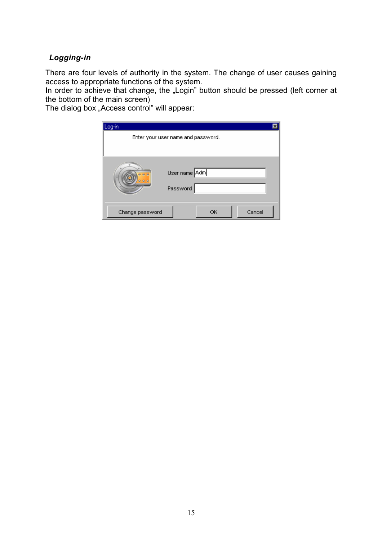## *Logging-in*

There are four levels of authority in the system. The change of user causes gaining access to appropriate functions of the system.

In order to achieve that change, the "Login" button should be pressed (left corner at the bottom of the main screen)

The dialog box "Access control" will appear:

| Log-in          |                                    | × |
|-----------------|------------------------------------|---|
|                 | Enter your user name and password. |   |
|                 |                                    |   |
|                 | User name Adm<br>Password          |   |
| Change password | Cancel<br>ОК                       |   |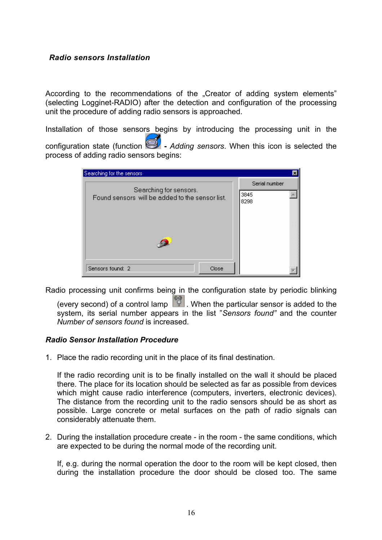#### *Radio sensors Installation*

According to the recommendations of the "Creator of adding system elements" (selecting Logginet-RADIO) after the detection and configuration of the processing unit the procedure of adding radio sensors is approached.

Installation of those sensors begins by introducing the processing unit in the configuration state (function  $\mathbf{Q}$  - Adding sensors. When this icon is selected the process of adding radio sensors begins:

| Searching for sensors.<br>Found sensors will be added to the sensor list. | Serial number<br>3845<br>8298 |
|---------------------------------------------------------------------------|-------------------------------|
| Sensors found: 2<br>Close                                                 |                               |

Radio processing unit confirms being in the configuration state by periodic blinking

(every second) of a control lamp  $\left[\begin{matrix} 1 \\ 1 \end{matrix}\right]$ . When the particular sensor is added to the system, its serial number appears in the list "*Sensors found"* and the counter *Number of sensors found* is increased.

#### *Radio Sensor Installation Procedure*

1. Place the radio recording unit in the place of its final destination.

If the radio recording unit is to be finally installed on the wall it should be placed there. The place for its location should be selected as far as possible from devices which might cause radio interference (computers, inverters, electronic devices). The distance from the recording unit to the radio sensors should be as short as possible. Large concrete or metal surfaces on the path of radio signals can considerably attenuate them.

2. During the installation procedure create - in the room - the same conditions, which are expected to be during the normal mode of the recording unit.

If, e.g. during the normal operation the door to the room will be kept closed, then during the installation procedure the door should be closed too. The same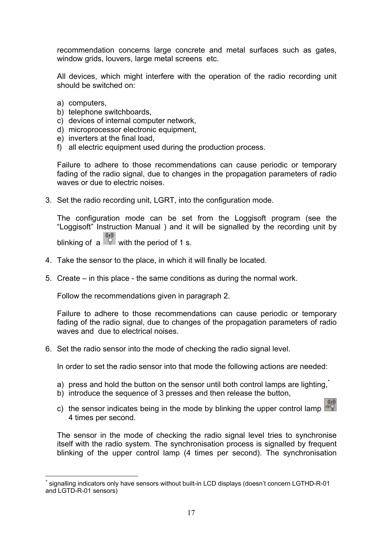recommendation concerns large concrete and metal surfaces such as gates, window grids, louvers, large metal screens etc.

All devices, which might interfere with the operation of the radio recording unit should be switched on:

- a) computers,
- b) telephone switchboards,
- c) devices of internal computer network,
- d) microprocessor electronic equipment,
- e) inverters at the final load,
- f) all electric equipment used during the production process.

Failure to adhere to those recommendations can cause periodic or temporary fading of the radio signal, due to changes in the propagation parameters of radio waves or due to electric noises.

3. Set the radio recording unit, LGRT, into the configuration mode.

The configuration mode can be set from the Loggisoft program (see the "Loggisoft" Instruction Manual ) and it will be signalled by the recording unit by blinking of a  $\overline{\mathbb{P}}$  with the period of 1 s.

- 4. Take the sensor to the place, in which it will finally be located.
- 5. Create in this place the same conditions as during the normal work.

Follow the recommendations given in paragraph 2.

Failure to adhere to those recommendations can cause periodic or temporary fading of the radio signal, due to changes of the propagation parameters of radio waves and due to electrical noises.

6. Set the radio sensor into the mode of checking the radio signal level.

In order to set the radio sensor into that mode the following actions are needed:

- a) press and hold the button on the sensor until both control lamps are lighting, $\tilde{ }$
- b) introduce the sequence of 3 presses and then release the button,
- c) the sensor indicates being in the mode by blinking the upper control lamp  $\frac{1}{2}$ 4 times per second.

The sensor in the mode of checking the radio signal level tries to synchronise itself with the radio system. The synchronisation process is signalled by frequent blinking of the upper control lamp (4 times per second). The synchronisation

 $\overline{a}$ signalling indicators only have sensors without built-in LCD displays (doesn't concern LGTHD-R-01 and LGTD-R-01 sensors)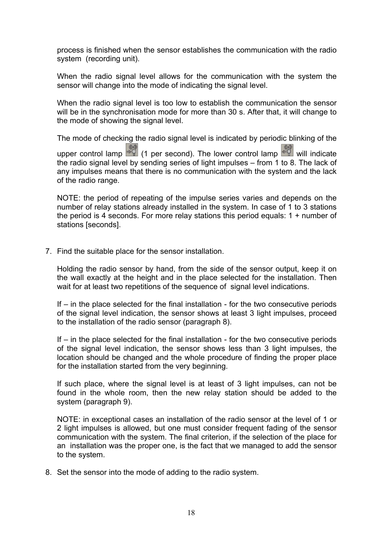process is finished when the sensor establishes the communication with the radio system (recording unit).

When the radio signal level allows for the communication with the system the sensor will change into the mode of indicating the signal level.

When the radio signal level is too low to establish the communication the sensor will be in the synchronisation mode for more than 30 s. After that, it will change to the mode of showing the signal level.

The mode of checking the radio signal level is indicated by periodic blinking of the upper control lamp  $\left[\begin{matrix} 1 \\ 0 \end{matrix}\right]$  (1 per second). The lower control lamp  $\left[\begin{matrix} 0 \\ 0 \end{matrix}\right]$  will indicate the radio signal level by sending series of light impulses – from 1 to 8. The lack of any impulses means that there is no communication with the system and the lack of the radio range.

NOTE: the period of repeating of the impulse series varies and depends on the number of relay stations already installed in the system. In case of 1 to 3 stations the period is 4 seconds. For more relay stations this period equals: 1 + number of stations [seconds].

7. Find the suitable place for the sensor installation.

Holding the radio sensor by hand, from the side of the sensor output, keep it on the wall exactly at the height and in the place selected for the installation. Then wait for at least two repetitions of the sequence of signal level indications.

If – in the place selected for the final installation - for the two consecutive periods of the signal level indication, the sensor shows at least 3 light impulses, proceed to the installation of the radio sensor (paragraph 8).

If – in the place selected for the final installation - for the two consecutive periods of the signal level indication, the sensor shows less than 3 light impulses, the location should be changed and the whole procedure of finding the proper place for the installation started from the very beginning.

If such place, where the signal level is at least of 3 light impulses, can not be found in the whole room, then the new relay station should be added to the system (paragraph 9).

NOTE: in exceptional cases an installation of the radio sensor at the level of 1 or 2 light impulses is allowed, but one must consider frequent fading of the sensor communication with the system. The final criterion, if the selection of the place for an installation was the proper one, is the fact that we managed to add the sensor to the system.

8. Set the sensor into the mode of adding to the radio system.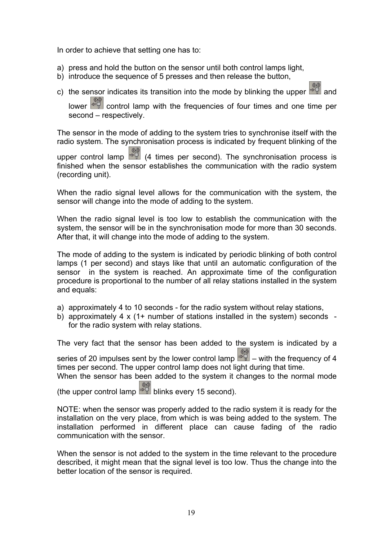In order to achieve that setting one has to:

- a) press and hold the button on the sensor until both control lamps light,
- b) introduce the sequence of 5 presses and then release the button,
- c) the sensor indicates its transition into the mode by blinking the upper  $\frac{1}{20}$  and

lower  $\left\lfloor \frac{2\pi}{3} \right\rfloor$  control lamp with the frequencies of four times and one time per second – respectively.

The sensor in the mode of adding to the system tries to synchronise itself with the radio system. The synchronisation process is indicated by frequent blinking of the

upper control lamp  $\frac{1}{2}$  (4 times per second). The synchronisation process is finished when the sensor establishes the communication with the radio system (recording unit).

When the radio signal level allows for the communication with the system, the sensor will change into the mode of adding to the system.

When the radio signal level is too low to establish the communication with the system, the sensor will be in the synchronisation mode for more than 30 seconds. After that, it will change into the mode of adding to the system.

The mode of adding to the system is indicated by periodic blinking of both control lamps (1 per second) and stays like that until an automatic configuration of the sensor in the system is reached. An approximate time of the configuration procedure is proportional to the number of all relay stations installed in the system and equals:

- a) approximately 4 to 10 seconds for the radio system without relay stations,
- b) approximately 4 x (1+ number of stations installed in the system) seconds for the radio system with relay stations.

The very fact that the sensor has been added to the system is indicated by a

series of 20 impulses sent by the lower control lamp  $\frac{1}{20}$  – with the frequency of 4 times per second. The upper control lamp does not light during that time.

When the sensor has been added to the system it changes to the normal mode

(the upper control lamp  $\frac{1}{2}$  blinks every 15 second).

NOTE: when the sensor was properly added to the radio system it is ready for the installation on the very place, from which is was being added to the system. The installation performed in different place can cause fading of the radio communication with the sensor.

When the sensor is not added to the system in the time relevant to the procedure described, it might mean that the signal level is too low. Thus the change into the better location of the sensor is required.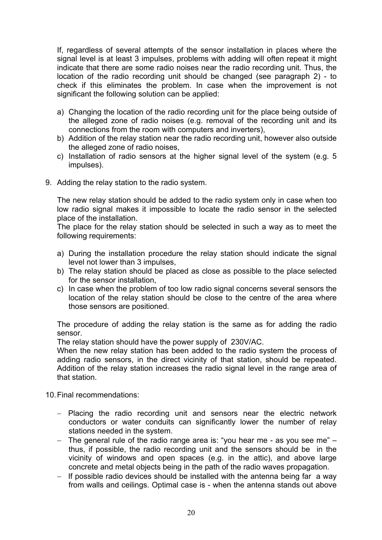If, regardless of several attempts of the sensor installation in places where the signal level is at least 3 impulses, problems with adding will often repeat it might indicate that there are some radio noises near the radio recording unit. Thus, the location of the radio recording unit should be changed (see paragraph 2) - to check if this eliminates the problem. In case when the improvement is not significant the following solution can be applied:

- a) Changing the location of the radio recording unit for the place being outside of the alleged zone of radio noises (e.g. removal of the recording unit and its connections from the room with computers and inverters),
- b) Addition of the relay station near the radio recording unit, however also outside the alleged zone of radio noises,
- c) Installation of radio sensors at the higher signal level of the system (e.g. 5 impulses).
- 9. Adding the relay station to the radio system.

The new relay station should be added to the radio system only in case when too low radio signal makes it impossible to locate the radio sensor in the selected place of the installation.

The place for the relay station should be selected in such a way as to meet the following requirements:

- a) During the installation procedure the relay station should indicate the signal level not lower than 3 impulses,
- b) The relay station should be placed as close as possible to the place selected for the sensor installation,
- c) In case when the problem of too low radio signal concerns several sensors the location of the relay station should be close to the centre of the area where those sensors are positioned.

The procedure of adding the relay station is the same as for adding the radio sensor.

The relay station should have the power supply of 230V/AC.

When the new relay station has been added to the radio system the process of adding radio sensors, in the direct vicinity of that station, should be repeated. Addition of the relay station increases the radio signal level in the range area of that station.

10. Final recommendations:

- − Placing the radio recording unit and sensors near the electric network conductors or water conduits can significantly lower the number of relay stations needed in the system.
- − The general rule of the radio range area is: "you hear me as you see me" thus, if possible, the radio recording unit and the sensors should be in the vicinity of windows and open spaces (e.g. in the attic), and above large concrete and metal objects being in the path of the radio waves propagation.
- − If possible radio devices should be installed with the antenna being far a way from walls and ceilings. Optimal case is - when the antenna stands out above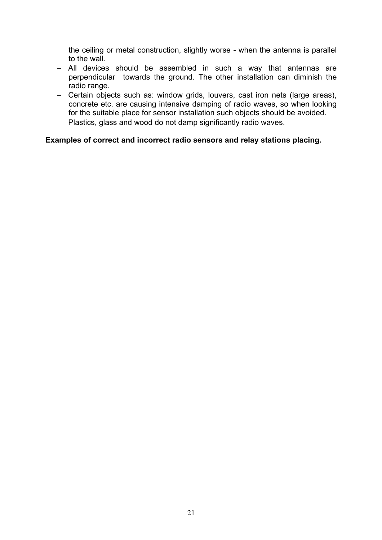the ceiling or metal construction, slightly worse - when the antenna is parallel to the wall.

- − All devices should be assembled in such a way that antennas are perpendicular towards the ground. The other installation can diminish the radio range.
- − Certain objects such as: window grids, louvers, cast iron nets (large areas), concrete etc. are causing intensive damping of radio waves, so when looking for the suitable place for sensor installation such objects should be avoided.
- − Plastics, glass and wood do not damp significantly radio waves.

#### **Examples of correct and incorrect radio sensors and relay stations placing.**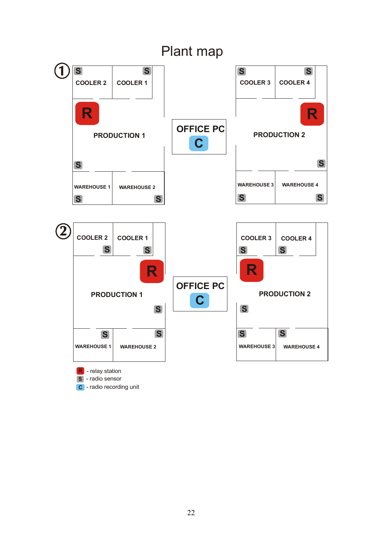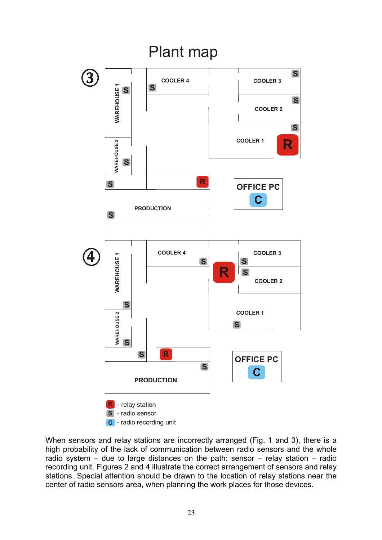

When sensors and relay stations are incorrectly arranged (Fig. 1 and 3), there is a high probability of the lack of communication between radio sensors and the whole radio system – due to large distances on the path: sensor – relay station – radio recording unit. Figures 2 and 4 illustrate the correct arrangement of sensors and relay stations. Special attention should be drawn to the location of relay stations near the center of radio sensors area, when planning the work places for those devices.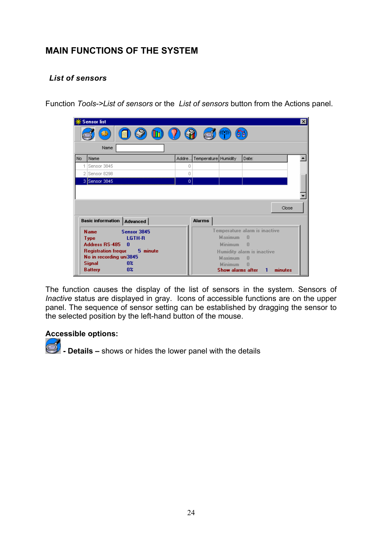# **MAIN FUNCTIONS OF THE SYSTEM**

## *List of sensors*

Function *Tools->List of sensors* or the *List of sensors* button from the Actions panel.



The function causes the display of the list of sensors in the system. Sensors of *Inactive* status are displayed in gray. Icons of accessible functions are on the upper panel. The sequence of sensor setting can be established by dragging the sensor to the selected position by the left-hand button of the mouse.

#### **Accessible options:**

**Details – shows or hides the lower panel with the details**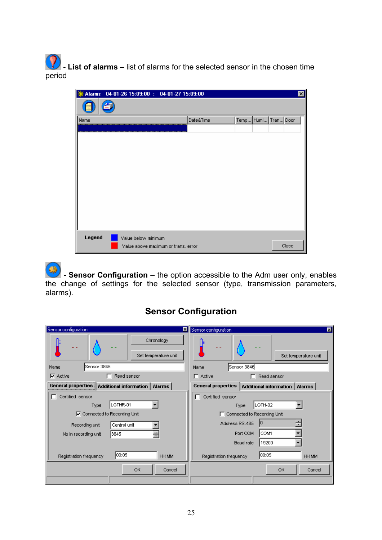**1** List of alarms – list of alarms for the selected sensor in the chosen time period

|        | *Alarms 04-01-26 15:09:00 : 04-01-27 15:09:00              |           |      |      |           | ⊠     |
|--------|------------------------------------------------------------|-----------|------|------|-----------|-------|
|        |                                                            |           |      |      |           |       |
| Name   |                                                            | Date&Time | Temp | Humi | Tran Door |       |
|        |                                                            |           |      |      |           |       |
|        |                                                            |           |      |      |           |       |
|        |                                                            |           |      |      |           |       |
|        |                                                            |           |      |      |           |       |
|        |                                                            |           |      |      |           |       |
|        |                                                            |           |      |      |           |       |
|        |                                                            |           |      |      |           |       |
|        |                                                            |           |      |      |           |       |
|        |                                                            |           |      |      |           |       |
|        |                                                            |           |      |      |           |       |
|        |                                                            |           |      |      |           |       |
| Legend |                                                            |           |      |      |           |       |
|        | Value below minimum<br>Value above maximum or trans, error |           |      |      |           | Close |
|        |                                                            |           |      |      |           |       |

 **- Sensor Configuration –** the option accessible to the Adm user only, enables the change of settings for the selected sensor (type, transmission parameters, alarms).

# **Sensor Configuration**

| Sensor configuration                                                                                                                    | Sensor configuration                                                                                                                        |
|-----------------------------------------------------------------------------------------------------------------------------------------|---------------------------------------------------------------------------------------------------------------------------------------------|
| 図                                                                                                                                       | 囩                                                                                                                                           |
| Chronology<br>Set temperature unit<br>Sensor 3845<br>Name                                                                               | Set temperature unit<br>Sensor 3846<br>Name                                                                                                 |
| $\nabla$ Active                                                                                                                         | $\Box$ Active                                                                                                                               |
| Read sensor                                                                                                                             | Read sensor                                                                                                                                 |
| г                                                                                                                                       | n                                                                                                                                           |
| General properties                                                                                                                      | <b>General properties</b>                                                                                                                   |
| Additional information   Alarms                                                                                                         | Additional information   Alarms                                                                                                             |
| Certified sensor<br>LGTHR-01<br>Type<br>○ Connected to Recording Unit<br>Central unit<br>Recording unit<br>3845<br>No in recording unit | Certified sensor<br>п<br>LGTH-02<br>Type<br>□ Connected to Recording Unit<br>Address RS-485<br>10<br>COM1<br>Port COM<br>19200<br>Baud rate |
| 00:05                                                                                                                                   | 00:05                                                                                                                                       |
| Registration frequency                                                                                                                  | Registration frequency                                                                                                                      |
| HH:MM                                                                                                                                   | HH:MM                                                                                                                                       |
| OK.                                                                                                                                     | OK                                                                                                                                          |
| Cancel                                                                                                                                  | Cancel                                                                                                                                      |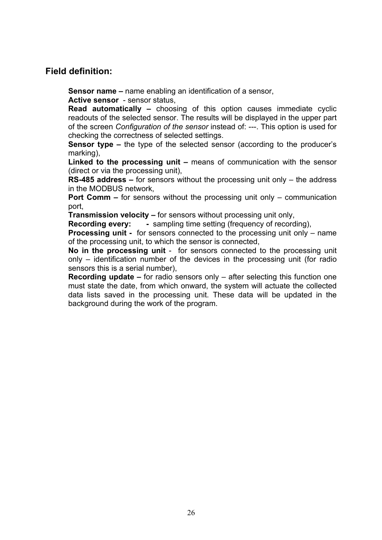## **Field definition:**

**Sensor name –** name enabling an identification of a sensor,

**Active sensor** - sensor status,

**Read automatically –** choosing of this option causes immediate cyclic readouts of the selected sensor. The results will be displayed in the upper part of the screen *Configuration of the sensor* instead of: ---. This option is used for checking the correctness of selected settings.

**Sensor type –** the type of the selected sensor (according to the producer's marking),

**Linked to the processing unit –** means of communication with the sensor (direct or via the processing unit),

**RS-485 address –** for sensors without the processing unit only – the address in the MODBUS network,

**Port Comm –** for sensors without the processing unit only – communication port,

**Transmission velocity –** for sensors without processing unit only,

**Recording every:** - sampling time setting (frequency of recording),

**Processing unit -** for sensors connected to the processing unit only – name of the processing unit, to which the sensor is connected,

**No in the processing unit** - for sensors connected to the processing unit only – identification number of the devices in the processing unit (for radio sensors this is a serial number),

**Recording update –** for radio sensors only – after selecting this function one must state the date, from which onward, the system will actuate the collected data lists saved in the processing unit. These data will be updated in the background during the work of the program.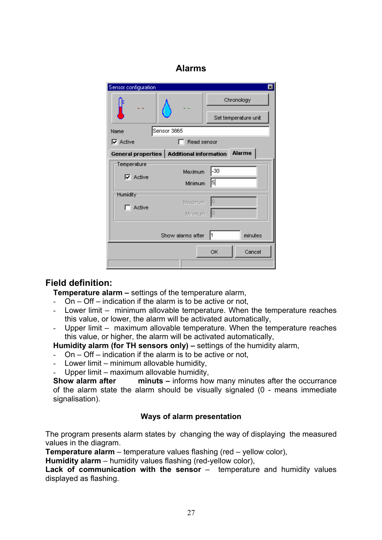## **Alarms**

| Sensor configuration     |                                             | $\overline{\mathbf{x}}$ |  |  |
|--------------------------|---------------------------------------------|-------------------------|--|--|
|                          |                                             | Chronology              |  |  |
|                          |                                             | Set temperature unit    |  |  |
| Name                     | Sensor 3865                                 |                         |  |  |
| $\nabla$ Active          | Read sensor                                 |                         |  |  |
|                          | General properties   Additional information | <b>Alarms</b>           |  |  |
| Temperature <sup>.</sup> |                                             |                         |  |  |
| $\nabla$ Active          | Maximum                                     | -30                     |  |  |
|                          | Minimum                                     | 51                      |  |  |
| Humidity <sup>.</sup>    |                                             |                         |  |  |
| Active                   | Maximum                                     |                         |  |  |
|                          | Minimum                                     |                         |  |  |
|                          |                                             |                         |  |  |
|                          | Show alarms after                           | minutes<br>ľ1           |  |  |
|                          |                                             | OK<br>Cancel            |  |  |
|                          |                                             |                         |  |  |

## **Field definition:**

**Temperature alarm –** settings of the temperature alarm,

- On Off indication if the alarm is to be active or not,
- Lower limit minimum allovable temperature. When the temperature reaches this value, or lower, the alarm will be activated automatically,
- Upper limit maximum allovable temperature. When the temperature reaches this value, or higher, the alarm will be activated automatically,

**Humidity alarm (for TH sensors only) –** settings of the humidity alarm,

- On Off indication if the alarm is to be active or not,
- Lower limit minimum allovable humidity,
- Upper limit maximum allovable humidity,

**Show alarm after** minuts – informs how many minutes after the occurrance of the alarm state the alarm should be visually signaled (0 - means immediate signalisation).

#### **Ways of alarm presentation**

The program presents alarm states by changing the way of displaying the measured values in the diagram.

**Temperature alarm** – temperature values flashing (red – yellow color),

**Humidity alarm** – humidity values flashing (red-yellow color),

Lack of communication with the sensor – temperature and humidity values displayed as flashing.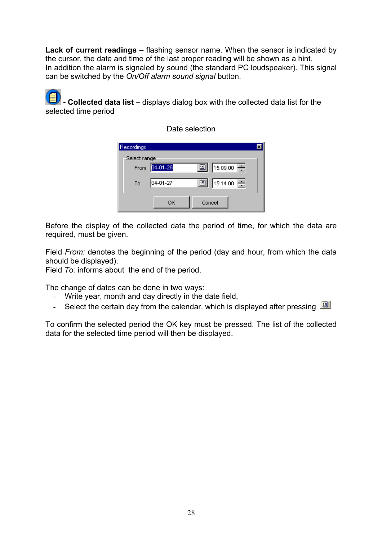**Lack of current readings** – flashing sensor name. When the sensor is indicated by the cursor, the date and time of the last proper reading will be shown as a hint. In addition the alarm is signaled by sound (the standard PC loudspeaker). This signal can be switched by the *On/Off alarm sound signal* button.

 **- Collected data list –** displays dialog box with the collected data list for the selected time period

| Recordings   |          |                 |  |
|--------------|----------|-----------------|--|
| Select range |          |                 |  |
| From         | 04-01-26 | 15:09:00 一<br>回 |  |
| To           | 04-01-27 | 15:14:00<br>圓   |  |
|              | ОК       | Cancel          |  |

Date selection

Before the display of the collected data the period of time, for which the data are required, must be given.

Field *From:* denotes the beginning of the period (day and hour, from which the data should be displayed).

Field *To:* informs about the end of the period.

The change of dates can be done in two ways:

- Write year, month and day directly in the date field,
- Select the certain day from the calendar, which is displayed after pressing  $\Box$

To confirm the selected period the OK key must be pressed. The list of the collected data for the selected time period will then be displayed.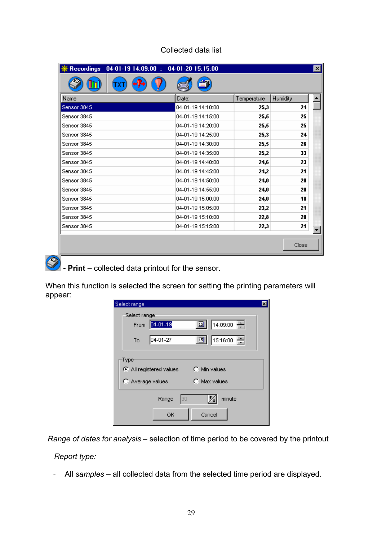| <b>Recordings</b><br>$04-01-19$ 14:09:00 : | 04-01-20 15:15:00 |             |                 | $\mathbf{x}$ |
|--------------------------------------------|-------------------|-------------|-----------------|--------------|
|                                            |                   |             |                 |              |
| Name                                       | Date:             | Temperature | <b>Humidity</b> |              |
| Sensor 3845                                | 04-01-19 14:10:00 | 25,3        | 24              |              |
| Sensor 3845                                | 04-01-19 14:15:00 | 25,5        | 25              |              |
| Sensor 3845                                | 04-01-19 14:20:00 | 25,5        | 25              |              |
| Sensor 3845                                | 04-01-19 14:25:00 | 25,3        | 24              |              |
| Sensor 3845                                | 04-01-19 14:30:00 | 25,5        | 26              |              |
| Sensor 3845                                | 04-01-19 14:35:00 | 25,2        | 33              |              |
| Sensor 3845                                | 04-01-19 14:40:00 | 24,6        | 23              |              |
| Sensor 3845                                | 04-01-19 14:45:00 | 24,2        | 21              |              |
| Sensor 3845                                | 04-01-19 14:50:00 | 24,0        | 20              |              |
| Sensor 3845                                | 04-01-19 14:55:00 | 24,0        | 20              |              |
| Sensor 3845                                | 04-01-19 15:00:00 | 24,0        | 18              |              |
| Sensor 3845                                | 04-01-19 15:05:00 | 23,2        | 21              |              |
| Sensor 3845                                | 04-01-19 15:10:00 | 22,8        | 20              |              |
| Sensor 3845                                | 04-01-19 15:15:00 | 22,3        | 21              |              |
|                                            |                   |             |                 |              |
|                                            |                   |             | Close           |              |

## Collected data list

**Print** – collected data printout for the sensor.

When this function is selected the screen for setting the printing parameters will appear:

| Select range     |                       |    |                      |             | × |
|------------------|-----------------------|----|----------------------|-------------|---|
| Select range:    |                       |    |                      |             |   |
| From             | 04-01-19              |    | 溷                    | [14:09:00 ] |   |
| To               | 04-01-27              |    | 画                    | [15:16:00 ] |   |
| Type             | All registered values |    | $\bigcap$ Min values |             |   |
| C Average values |                       |    | $\bigcap$ Max values |             |   |
|                  | Range                 | 30 |                      | minute      |   |
|                  | ОК                    |    | Cancel               |             |   |

 *Range of dates for analysis –* selection of time period to be covered by the printout

## *Report type:*

- All *samples* – all collected data from the selected time period are displayed.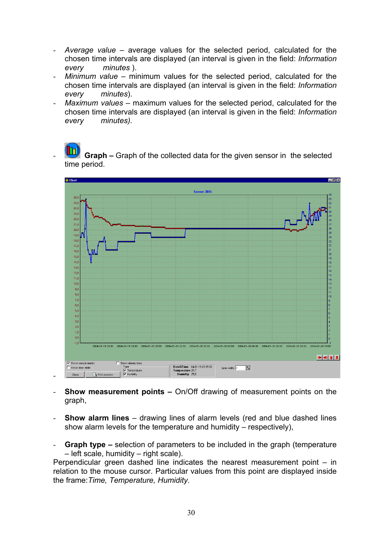- *Average value* average values for the selected period, calculated for the chosen time intervals are displayed (an interval is given in the field: *Information every minutes* ).
- *Minimum value* minimum values for the selected period, calculated for the chosen time intervals are displayed (an interval is given in the field: *Information every minutes*).
- *Maximum values* maximum values for the selected period, calculated for the chosen time intervals are displayed (an interval is given in the field: *Information every minutes).*

**Graph –** Graph of the collected data for the given sensor in the selected time period.



- **Show measurement points –** On/Off drawing of measurement points on the graph,
- **Show alarm lines**  drawing lines of alarm levels (red and blue dashed lines show alarm levels for the temperature and humidity – respectively),
- **Graph type –** selection of parameters to be included in the graph (temperature – left scale, humidity – right scale).

Perpendicular green dashed line indicates the nearest measurement point – in relation to the mouse cursor. Particular values from this point are displayed inside the frame:*Time, Temperature, Humidity.*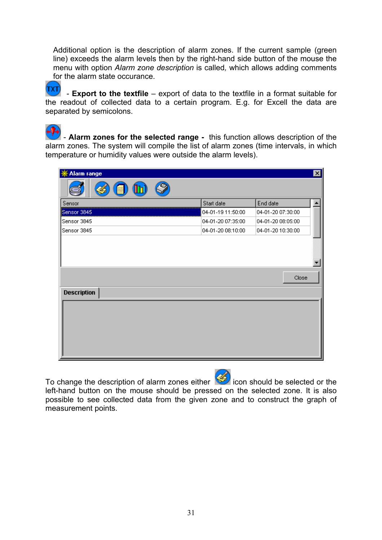Additional option is the description of alarm zones. If the current sample (green line) exceeds the alarm levels then by the right-hand side button of the mouse the menu with option *Alarm zone description* is called*,* which allows adding comments for the alarm state occurance.

TXT - **Export to the textfile** – export of data to the textfile in a format suitable for the readout of collected data to a certain program. E.g. for Excell the data are separated by semicolons.

 - **Alarm zones for the selected range -** this function allows description of the alarm zones. The system will compile the list of alarm zones (time intervals, in which temperature or humidity values were outside the alarm levels).

| <b>※ Alarm range</b>         |                   |                   | $\vert x \vert$ |
|------------------------------|-------------------|-------------------|-----------------|
| Ø<br>$\overline{\textbf{u}}$ |                   |                   |                 |
| Sensor                       | Start date        | End date          |                 |
| Sensor 3845                  | 04-01-19 11:50:00 | 04-01-20 07:30:00 |                 |
| Sensor 3845                  | 04-01-20 07:35:00 | 04-01-20 08:05:00 |                 |
| Sensor 3845                  | 04-01-20 08:10:00 | 04-01-20 10:30:00 |                 |
| <b>Description</b>           |                   | Close             |                 |
|                              |                   |                   |                 |

To change the description of alarm zones either **in the selected of the selected or the** left-hand button on the mouse should be pressed on the selected zone. It is also possible to see collected data from the given zone and to construct the graph of measurement points.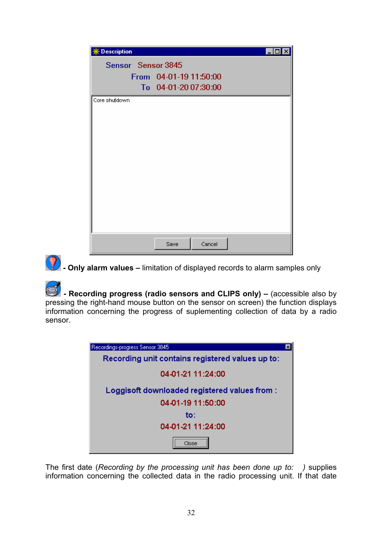| <b>※ Description</b> |                                                |  |
|----------------------|------------------------------------------------|--|
| Sensor Sensor 3845   | From 04-01-19 11:50:00<br>To 04-01-20 07:30:00 |  |
| Core shutdown        |                                                |  |
|                      | Cancel<br>Save                                 |  |



**(?)** - Only alarm values – limitation of displayed records to alarm samples only

 **- Recording progress (radio sensors and CLIPS only) –** (accessible also by pressing the right-hand mouse button on the sensor on screen) the function displays information concerning the progress of suplementing collection of data by a radio sensor.

| Recordings-progress Sensor 3845                  |  |
|--------------------------------------------------|--|
| Recording unit contains registered values up to: |  |
| 04-01-21 11:24:00                                |  |
| Loggisoft downloaded registered values from:     |  |
| 04-01-19 11:50:00                                |  |
| to:                                              |  |
| 04-01-21 11:24:00                                |  |
|                                                  |  |

The first date (*Recording by the processing unit has been done up to: )* supplies information concerning the collected data in the radio processing unit. If that date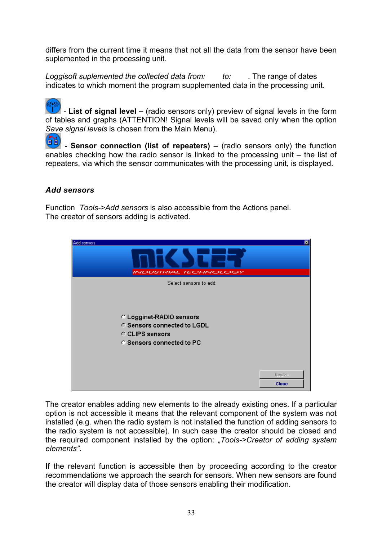differs from the current time it means that not all the data from the sensor have been suplemented in the processing unit.

*Loggisoft suplemented the collected data from: to: .* The range of dates indicates to which moment the program supplemented data in the processing unit.

 *-* **List of signal level –** (radio sensors only) preview of signal levels in the form of tables and graphs (ATTENTION! Signal levels will be saved only when the option *Save signal levels* is chosen from the Main Menu).

**56** Sensor connection (list of repeaters) – (radio sensors only) the function enables checking how the radio sensor is linked to the processing unit – the list of repeaters, via which the sensor communicates with the processing unit, is displayed.

### *Add sensors*

Function *Tools->Add sensors* is also accessible from the Actions panel. The creator of sensors adding is activated.



The creator enables adding new elements to the already existing ones. If a particular option is not accessible it means that the relevant component of the system was not installed (e.g. when the radio system is not installed the function of adding sensors to the radio system is not accessible). In such case the creator should be closed and the required component installed by the option: "*Tools->Creator of adding system elements"*.

If the relevant function is accessible then by proceeding according to the creator recommendations we approach the search for sensors. When new sensors are found the creator will display data of those sensors enabling their modification.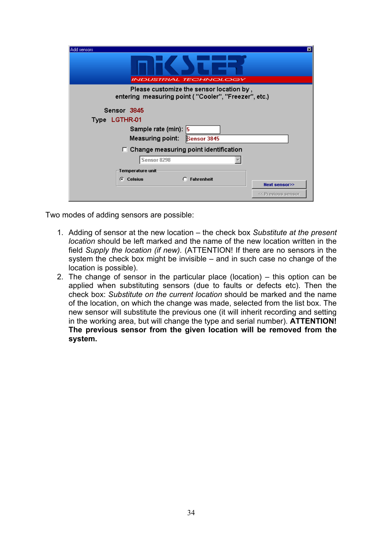| Add sensors<br><b>INDUSTRIAL TECHNOLOGY</b>                                                      | ×                                   |
|--------------------------------------------------------------------------------------------------|-------------------------------------|
| Please customize the sensor location by,<br>entering measuring point ("Cooler", "Freezer", etc.) |                                     |
| Sensor 3845<br>Type LGTHR-01<br>Sample rate (min): 5<br>Measuring point: <b>Sensor 3845</b>      |                                     |
| $\Box$ Change measuring point identification<br>Sensor 8298                                      |                                     |
| Temperature unit<br><b>Celsius</b><br><b>Fahrenheit</b><br>G.                                    | Next sensor>><br><< Previous sensor |

Two modes of adding sensors are possible:

- 1. Adding of sensor at the new location the check box *Substitute at the present location* should be left marked and the name of the new location written in the field *Supply the location (if new).* (ATTENTION! If there are no sensors in the system the check box might be invisible – and in such case no change of the location is possible).
- 2. The change of sensor in the particular place (location) this option can be applied when substituting sensors (due to faults or defects etc). Then the check box: *Substitute on the current location* should be marked and the name of the location, on which the change was made, selected from the list box. The new sensor will substitute the previous one (it will inherit recording and setting in the working area, but will change the type and serial number). **ATTENTION! The previous sensor from the given location will be removed from the system.**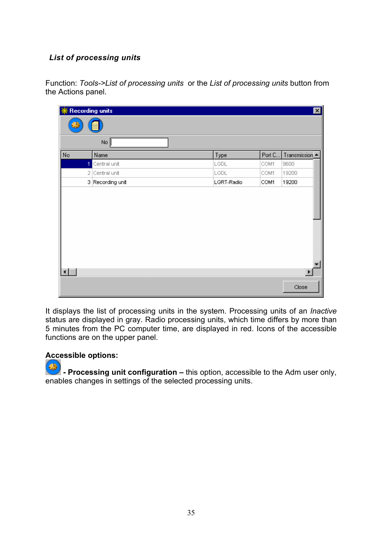## *List of processing units*

Function: *Tools->List of processing units* or the *List of processing units* button from the Actions panel.

| <b>※ Recording units</b> |   |                  |            |        | 図              |
|--------------------------|---|------------------|------------|--------|----------------|
| CB                       |   |                  |            |        |                |
|                          |   | No               |            |        |                |
| No                       |   | Name             | Type       | Port C | Transmission - |
|                          | 1 | Central unit     | LGDL       | COM1   | 9600           |
|                          |   | 2 Central unit   | LGDL       | COM1   | 19200          |
|                          |   | 3 Recording unit | LGRT-Radio | COM1   | 19200          |
|                          |   |                  |            |        | $\overline{ }$ |
|                          |   |                  |            |        | Close          |

It displays the list of processing units in the system. Processing units of an *Inactive*  status are displayed in gray. Radio processing units, which time differs by more than 5 minutes from the PC computer time, are displayed in red. Icons of the accessible functions are on the upper panel.

#### **Accessible options:**

GB)  **- Processing unit configuration –** this option, accessible to the Adm user only, enables changes in settings of the selected processing units.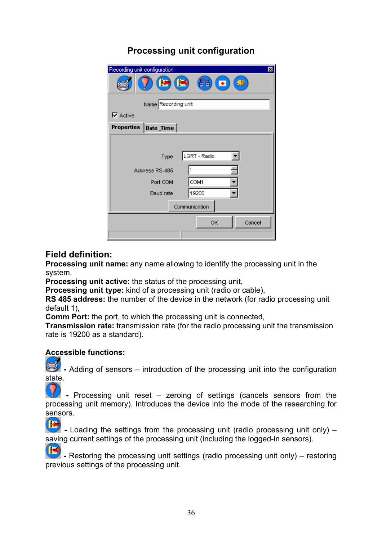# **Processing unit configuration**

| Recording unit configuration<br>⊠<br>$\left( \blacksquare \right)$ $\left( \blacksquare \right)$<br>$\blacksquare$<br>ا⊕<br>Name Recording unit |              |  |  |  |
|-------------------------------------------------------------------------------------------------------------------------------------------------|--------------|--|--|--|
| $\nabla$ Active                                                                                                                                 |              |  |  |  |
|                                                                                                                                                 |              |  |  |  |
| Properties   Date _Time                                                                                                                         |              |  |  |  |
|                                                                                                                                                 |              |  |  |  |
| Type                                                                                                                                            | LGRT - Radio |  |  |  |
| Address RS-485                                                                                                                                  |              |  |  |  |
| Port COM                                                                                                                                        | COM1         |  |  |  |
| Baud rate                                                                                                                                       | 19200        |  |  |  |
| Communication                                                                                                                                   |              |  |  |  |
|                                                                                                                                                 | Cancel<br>OK |  |  |  |
|                                                                                                                                                 |              |  |  |  |

## **Field definition:**

**Processing unit name:** any name allowing to identify the processing unit in the system,

**Processing unit active:** the status of the processing unit,

**Processing unit type:** kind of a processing unit (radio or cable),

**RS 485 address:** the number of the device in the network (for radio processing unit default 1),

**Comm Port:** the port, to which the processing unit is connected,

**Transmission rate:** transmission rate (for the radio processing unit the transmission rate is 19200 as a standard).

## **Accessible functions:**

**3** - Adding of sensors – introduction of the processing unit into the configuration state.

 **-** Processing unit reset – zeroing of settings (cancels sensors from the processing unit memory). Introduces the device into the mode of the researching for sensors.<br><sup>[</sup>*k*]</sup> - Lo

 **-** Loading the settings from the processing unit (radio processing unit only) – saving current settings of the processing unit (including the logged-in sensors).

r  **-** Restoring the processing unit settings (radio processing unit only) – restoring previous settings of the processing unit.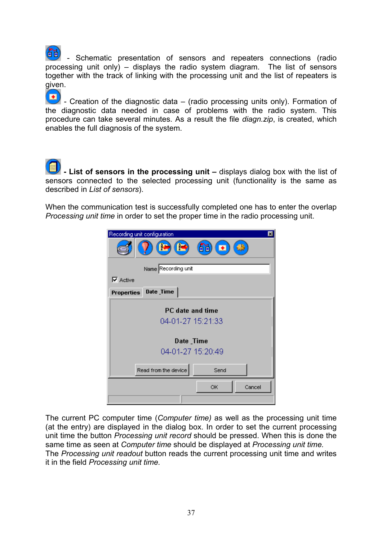- Schematic presentation of sensors and repeaters connections (radio processing unit only) – displays the radio system diagram. The list of sensors together with the track of linking with the processing unit and the list of repeaters is given.

 $\left( \blacksquare \right)$ - Creation of the diagnostic data  $-$  (radio processing units only). Formation of the diagnostic data needed in case of problems with the radio system. This procedure can take several minutes. As a result the file *diagn.zip*, is created, which enables the full diagnosis of the system.

 **- List of sensors in the processing unit –** displays dialog box with the list of sensors connected to the selected processing unit (functionality is the same as described in *List of sensors*).

When the communication test is successfully completed one has to enter the overlap *Processing unit time* in order to set the proper time in the radio processing unit.

| Recording unit configuration<br>$\vert x \vert$                   |
|-------------------------------------------------------------------|
| $\left( \blacksquare \right)$<br>68<br>$\blacksquare$<br>$\oplus$ |
| Name Recording unit                                               |
| $\nabla$ Active                                                   |
| Date_Time<br><b>Properties</b>                                    |
| PC date and time                                                  |
| 04-01-27 15:21:33                                                 |
|                                                                   |
| Date_Time                                                         |
| 04-01-27 15:20:49                                                 |
|                                                                   |
| Read from the device<br>Send                                      |
| ОK<br>Cancel                                                      |
|                                                                   |
|                                                                   |

The current PC computer time (*Computer time)* as well as the processing unit time (at the entry) are displayed in the dialog box. In order to set the current processing unit time the button *Processing unit record* should be pressed. When this is done the same time as seen at *Computer time* should be displayed at *Processing unit time.*  The *Processing unit readout* button reads the current processing unit time and writes it in the field *Processing unit time.*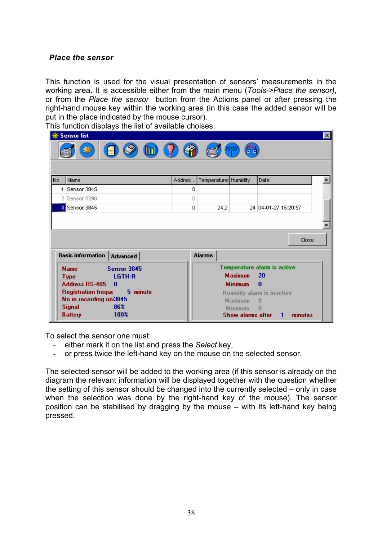### *Place the sensor*

This function is used for the visual presentation of sensors' measurements in the working area. It is accessible either from the main menu (*Tools->Place the sensor)*, or from the *Place the sensor* button from the Actions panel or after pressing the right-hand mouse key within the working area (in this case the added sensor will be put in the place indicated by the mouse cursor).

This function displays the list of available choises.

|     | ※ Sensor list                                                                                                                                                                                            |        |                      |                                                                                           |                                                                                                                | $\vert x \vert$ |
|-----|----------------------------------------------------------------------------------------------------------------------------------------------------------------------------------------------------------|--------|----------------------|-------------------------------------------------------------------------------------------|----------------------------------------------------------------------------------------------------------------|-----------------|
|     | $\circledcirc$<br>$\mathbf{G}$<br>$\left( \prod_{i=1}^{n} \right)$<br>6é<br>-99                                                                                                                          |        |                      |                                                                                           |                                                                                                                |                 |
| No. | Name                                                                                                                                                                                                     | Addres | Temperature Humidity |                                                                                           | Date:                                                                                                          |                 |
| 1   | Sensor 3845                                                                                                                                                                                              | 0      |                      |                                                                                           |                                                                                                                |                 |
|     | Sensor 8298                                                                                                                                                                                              | 0      |                      |                                                                                           |                                                                                                                |                 |
|     | 3 Sensor 3845                                                                                                                                                                                            | 0      | 24,2                 |                                                                                           | 24 04-01-27 15:20:57                                                                                           |                 |
|     |                                                                                                                                                                                                          |        |                      |                                                                                           |                                                                                                                | Close           |
|     | <b>Basic information   Advanced  </b>                                                                                                                                                                    |        | <b>Alarms</b>        |                                                                                           |                                                                                                                |                 |
|     | Sensor 3845<br><b>Name</b><br>LGTH-R<br><b>Type</b><br><b>Address RS-485</b><br>n<br>5 minute<br><b>Registration freque</b><br>No in recording uni3845<br>86%<br><b>Signal</b><br>100%<br><b>Battery</b> |        |                      | <b>Maximum</b><br><b>Minimum</b><br><b>Maximum</b><br><b>Minimum</b><br>Show alarms after | Temperature alarm is active<br>20<br>$\bf{0}$<br>Humidity alarm is inactive<br>$\sqrt{ }$<br>n<br>minutes<br>1 |                 |

To select the sensor one must:

- either mark it on the list and press the *Select* key,
- or press twice the left-hand key on the mouse on the selected sensor.

The selected sensor will be added to the working area (if this sensor is already on the diagram the relevant information will be displayed together with the question whether the setting of this sensor should be changed into the currently selected – only in case when the selection was done by the right-hand key of the mouse). The sensor position can be stabilised by dragging by the mouse – with its left-hand key being pressed.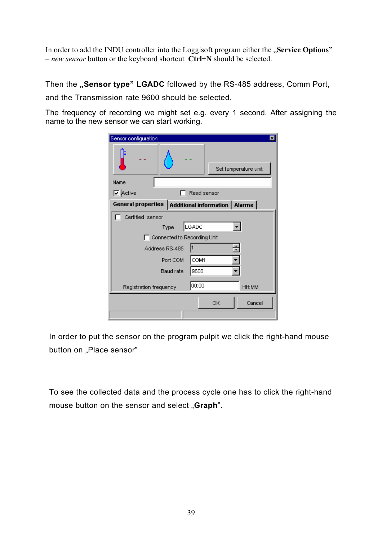In order to add the INDU controller into the Loggisoft program either the "Service Options" – *new sensor* button or the keyboard shortcut **Ctrl+N** should be selected.

Then the "Sensor type" LGADC followed by the RS-485 address, Comm Port,

and the Transmission rate 9600 should be selected.

The frequency of recording we might set e.g. every 1 second. After assigning the name to the new sensor we can start working.

| Sensor configuration                                 |                             |             |    | $\vert x \vert$      |
|------------------------------------------------------|-----------------------------|-------------|----|----------------------|
|                                                      |                             |             |    | Set temperature unit |
| Name                                                 |                             |             |    |                      |
| <b>V</b> Active                                      |                             | Read sensor |    |                      |
| General properties   Additional information   Alarms |                             |             |    |                      |
| Certified sensor                                     |                             |             |    |                      |
|                                                      | Type                        | LGADC       |    |                      |
|                                                      | Connected to Recording Unit |             |    |                      |
|                                                      | Address RS-485              |             |    |                      |
|                                                      | Port COM                    | COM1        |    |                      |
|                                                      | Baud rate                   | 9600        |    |                      |
| Registration frequency                               |                             | 00:00       |    | HH:MM                |
|                                                      |                             |             | OK | Cancel               |

In order to put the sensor on the program pulpit we click the right-hand mouse button on "Place sensor"

To see the collected data and the process cycle one has to click the right-hand mouse button on the sensor and select "**Graph**".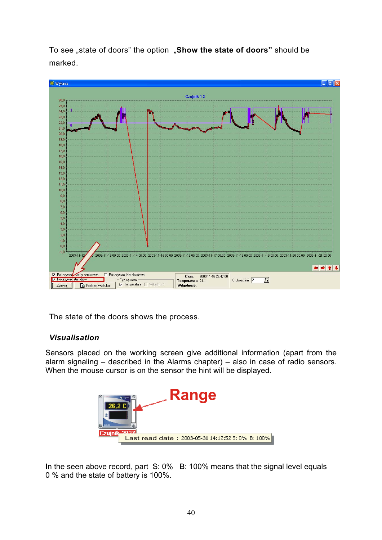To see "state of doors" the option "**Show the state of doors"** should be marked.



The state of the doors shows the process.

## *Visualisation*

Sensors placed on the working screen give additional information (apart from the alarm signaling – described in the Alarms chapter) – also in case of radio sensors. When the mouse cursor is on the sensor the hint will be displayed.



In the seen above record, part S: 0% B: 100% means that the signal level equals 0 % and the state of battery is 100%.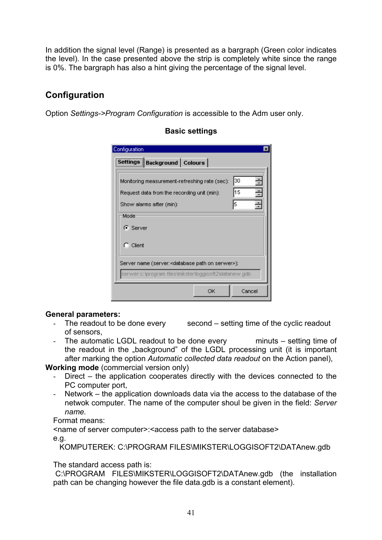In addition the signal level (Range) is presented as a bargraph (Green color indicates the level). In the case presented above the strip is completely white since the range is 0%. The bargraph has also a hint giving the percentage of the signal level.

## **Configuration**

Option *Settings->Program Configuration* is accessible to the Adm user only.

| Configuration                                                                                |          |
|----------------------------------------------------------------------------------------------|----------|
| Settings   Background   Colours                                                              |          |
| Monitoring measurement-refreshing rate (sec):<br>Request data from the recording unit (min): | 30<br>15 |
| Show alarms after (min):<br>Mode:                                                            | l5       |
| G Server                                                                                     |          |
| $\bigcap$ Client                                                                             |          |
| Server name (server: <database on="" path="" serwer="">):</database>                         |          |
| serwer:c:\program files\mikster\loggisoft2\datanew.gdb                                       |          |
| ОК                                                                                           | Cancel   |

## **Basic settings**

## **General parameters:**

- The readout to be done every second setting time of the cyclic readout of sensors,
- The automatic LGDL readout to be done every minuts setting time of the readout in the "background" of the LGDL processing unit (it is important after marking the option *Automatic collected data readout* on the Action panel),

**Working mode** (commercial version only)

- Direct the application cooperates directly with the devices connected to the PC computer port,
- Network the application downloads data via the access to the database of the netwok computer. The name of the computer shoul be given in the field: *Server name.*

Format means:

<name of server computer>:<access path to the server database>

e.g.

KOMPUTEREK: C:\PROGRAM FILES\MIKSTER\LOGGISOFT2\DATAnew.gdb

The standard access path is:

 C:\PROGRAM FILES\MIKSTER\LOGGISOFT2\DATAnew.gdb (the installation path can be changing however the file data.gdb is a constant element).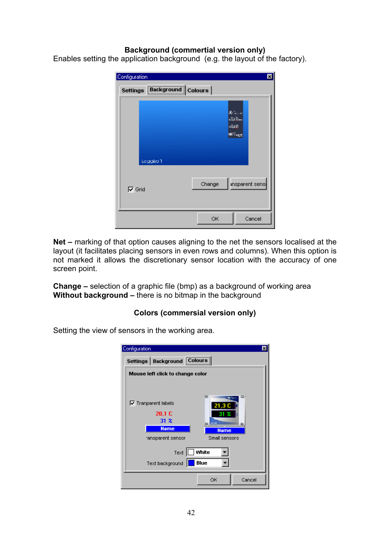#### **Background (commertial version only)**

Enables setting the application background (e.g. the layout of the factory).

| Configuration                   | 囩                                                                             |
|---------------------------------|-------------------------------------------------------------------------------|
| Settings   Background   Colours |                                                                               |
| Loggiso <sup>4</sup>            | $\mathcal{R}$ is a set<br>$\mathcal{L}(\mathcal{E})_{\text{res}}$<br>暗道<br>≋‱ |
| $\nabla$ Grid                   | ansparent sens<br>Change                                                      |
|                                 | OK<br>Cancel                                                                  |

**Net –** marking of that option causes aligning to the net the sensors localised at the layout (it facilitates placing sensors in even rows and columns). When this option is not marked it allows the discretionary sensor location with the accuracy of one screen point.

**Change –** selection of a graphic file (bmp) as a background of working area **Without background –** there is no bitmap in the background

#### **Colors (commersial version only)**

Setting the view of sensors in the working area.

| Configuration                   |                                                    |                            | ⊠                                  |
|---------------------------------|----------------------------------------------------|----------------------------|------------------------------------|
| Settings   Background   Colours |                                                    |                            |                                    |
|                                 | Mouse left click to change color                   |                            |                                    |
|                                 |                                                    |                            |                                    |
| $\nabla$ Tranparent labels      | 20.1 C<br>31 x<br><b>Name</b><br>ransparent sensor | œ<br>21,3 C<br><b>STAR</b> | Ø.<br><b>Name</b><br>Small sensors |
|                                 | Text<br>Text background                            | White<br><b>Blue</b>       |                                    |
|                                 |                                                    | ОK                         | Cancel                             |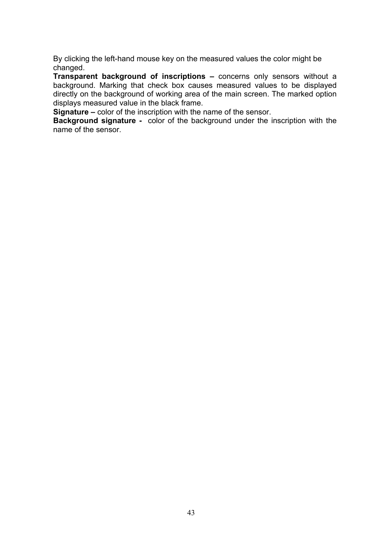By clicking the left-hand mouse key on the measured values the color might be changed.

**Transparent background of inscriptions –** concerns only sensors without a background. Marking that check box causes measured values to be displayed directly on the background of working area of the main screen. The marked option displays measured value in the black frame.

**Signature –** color of the inscription with the name of the sensor.

**Background signature -** color of the background under the inscription with the name of the sensor.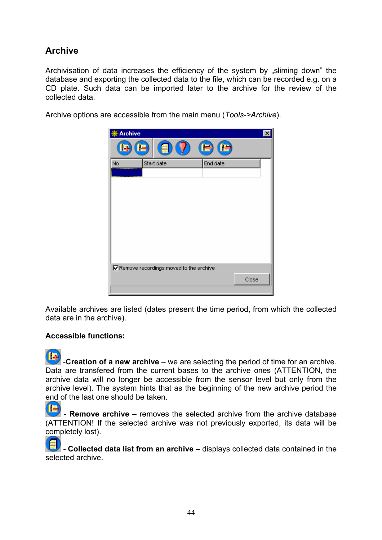# **Archive**

Archivisation of data increases the efficiency of the system by "sliming down" the database and exporting the collected data to the file, which can be recorded e.g. on a CD plate. Such data can be imported later to the archive for the review of the collected data.

Archive options are accessible from the main menu (*Tools->Archive*).



Available archives are listed (dates present the time period, from which the collected data are in the archive).

#### **Accessible functions:**

T. **-Creation of a new archive** – we are selecting the period of time for an archive. Data are transfered from the current bases to the archive ones (ATTENTION, the archive data will no longer be accessible from the sensor level but only from the archive level). The system hints that as the beginning of the new archive period the end of the last one should be taken.

æ - **Remove archive –** removes the selected archive from the archive database (ATTENTION! If the selected archive was not previously exported, its data will be completely lost).

**- Collected data list from an archive –** displays collected data contained in the selected archive.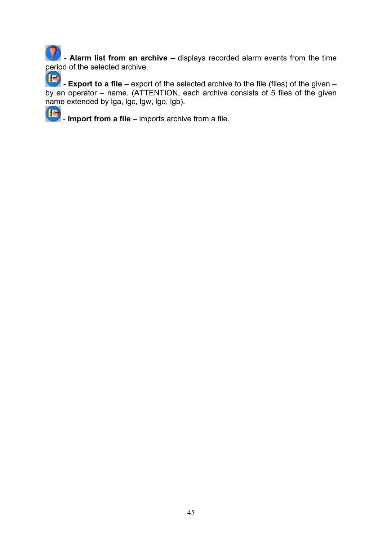**42** - Alarm list from an archive – displays recorded alarm events from the time period of the selected archive.

 $\blacksquare$ **- Export to a file –** export of the selected archive to the file (files) of the given – by an operator – name. (ATTENTION, each archive consists of 5 files of the given name extended by lga, lgc, lgw, lgo, lgb).

**IF** - **Import from a file –** imports archive from a file.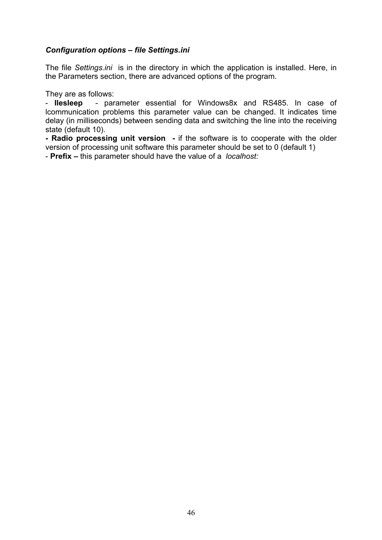#### *Configuration options – file Settings.ini*

The file *Settings.ini* is in the directory in which the application is installed. Here, in the Parameters section, there are advanced options of the program.

They are as follows:

- **Ilesleep** - parameter essential for Windows8x and RS485. In case of lcommunication problems this parameter value can be changed. It indicates time delay (in milliseconds) between sending data and switching the line into the receiving state (default 10).

**- Radio processing unit version -** if the software is to cooperate with the older version of processing unit software this parameter should be set to 0 (default 1)

- **Prefix –** this parameter should have the value of a *localhost:*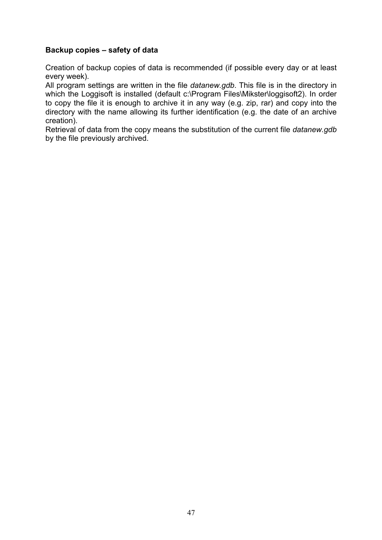#### **Backup copies – safety of data**

Creation of backup copies of data is recommended (if possible every day or at least every week).

All program settings are written in the file *datanew.gdb*. This file is in the directory in which the Loggisoft is installed (default c:\Program Files\Mikster\loggisoft2). In order to copy the file it is enough to archive it in any way (e.g. zip, rar) and copy into the directory with the name allowing its further identification (e.g. the date of an archive creation).

Retrieval of data from the copy means the substitution of the current file *datanew.gdb*  by the file previously archived.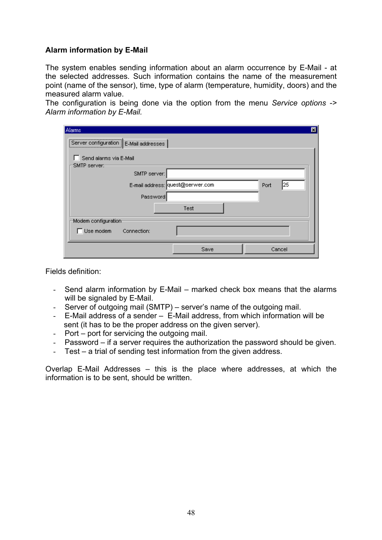### **Alarm information by E-Mail**

The system enables sending information about an alarm occurrence by E-Mail - at the selected addresses. Such information contains the name of the measurement point (name of the sensor), time, type of alarm (temperature, humidity, doors) and the measured alarm value.

The configuration is being done via the option from the menu *Service options -> Alarm information by E-Mail.*

| Alarms                                  |      |             | ⊠ |
|-----------------------------------------|------|-------------|---|
| Server configuration   E-Mail addresses |      |             |   |
|                                         |      |             |   |
| Send alarms via E-Mail<br>SMTP server:  |      |             |   |
| SMTP server:                            |      |             |   |
| E-mail address: quest@serwer.com        |      | 125<br>Port |   |
|                                         |      |             |   |
| Password                                |      |             |   |
|                                         | Test |             |   |
| Modern configuration                    |      |             |   |
| Use modem<br>Connection:                |      |             |   |
|                                         |      |             |   |
|                                         | Save | Cancel      |   |

Fields definition:

- Send alarm information by E-Mail marked check box means that the alarms will be signaled by E-Mail.
- Server of outgoing mail (SMTP) server's name of the outgoing mail.
- E-Mail address of a sender E-Mail address, from which information will be sent (it has to be the proper address on the given server).
- Port port for servicing the outgoing mail.
- Password if a server requires the authorization the password should be given.
- Test a trial of sending test information from the given address.

Overlap E-Mail Addresses – this is the place where addresses, at which the information is to be sent, should be written.